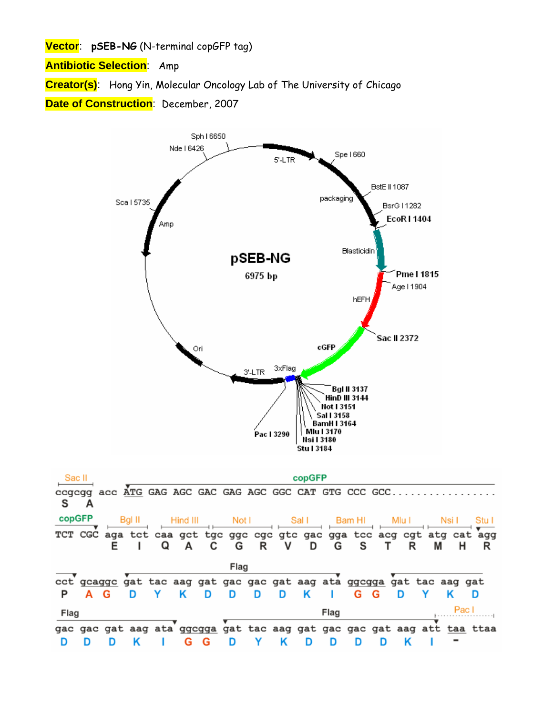**Vector**: **pSEB-NG** (N-terminal copGFP tag)

**Antibiotic Selection**: Amp

**Creator(s)**: Hong Yin, Molecular Oncology Lab of The University of Chicago

**Date of Construction**: December, 2007

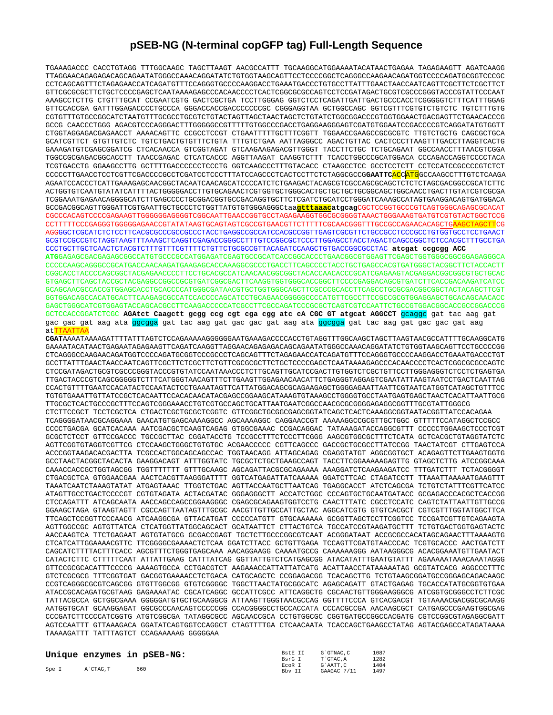## **pSEB-NG (N-terminal copGFP tag) Full-Length Sequence**

TGAAAGACCC CACCTGTAGG TTTGGCAAGC TAGCTTAAGT AACGCCATTT TGCAAGGCATGGAAAATACATAACTGAGAA TAGAGAAGTT AGATCAAGG TTAGGAACAGAGAGACAGCAGAATATGGGCCAAACAGGATATCTGTGGTAAGCAGTTCCTCCCCGGCTCAGGGCCAAGAACAGATGGTCCCCAGATGCGGTCCCGC CCTCAGCAGTTTCTAGAGAACCATCAGATGTTTCCAGGGTGCCCCAAGGACCTGAAATGACCCTGTGCCTTATTTGAACTAACCAATCAGTTCGCTTCTCGCTTCT GTTCGCGCGCTTCTGCTCCCCGAGCTCAATAAAAGAGCCCACAACCCCTCACTCGGCGCGCCAGTCCTCCGATAGACTGCGTCGCCCGGGTACCCGTATTCCCAAT AAAGCCTCTTG CTGTTTGCAT CCGAATCGTG GACTCGCTGA TCCTTGGGAG GGTCTCCTCAGATTGATTGACTGCCCACCTCGGGGGTCTTTCATTTGGAG GTTCCACCGA GATTTGGAGACCCCTGCCCA GGGACCACCGACCCCCCCGC CGGGAGGTAA GCTGGCCAGC GGTCGTTTCGTGTCTGTCTC TGTCTTTGTG CGTGTTTGTGCCGGCATCTAATGTTTGCGCCTGCGTCTGTACTAGTTAGCTAACTAGCTCTGTATCTGGCGGACCCGTGGTGGAACTGACGAGTTCTGAACACCCG GCCG CAACCCTGGG AGACGTCCCAGGGACTTTGGGGGCCGTTTTTGTGGCCCGACCTGAGGAAGGGAGTCGATGTGGAATCCGACCCCGTCAGGATATGTGGTT CTGGTAGGAGACGAGAACCT AAAACAGTTC CCGCCTCCGT CTGAATTTTTGCTTTCGGTT TGGAACCGAAGCCGCGCGTC TTGTCTGCTG CAGCGCTGCA GCATCGTTCT GTGTTGTCTC TGTCTGACTGTGTTTCTGTA TTTGTCTGAA AATTAGGGCC AGACTGTTAC CACTCCCTTAAGTTTGACCTTAGGTCACTG GAAAGATGTCGAGCGGATCG CTCACAACCA GTCGGTAGAT GTCAAGAAGAGACGTTGGGT TACCTTCTGC TCTGCAGAAT GGCCAACCTTTAACGTCGGA TGGCCGCGAGACGGCACCTT TAACCGAGAC CTCATCACCC AGGTTAAGAT CAAGGTCTTT TCACCTGGCCCGCATGGACA CCCAGACCAGGTCCCCTACA TCGTGACCTG GGAAGCCTTG GCTTTTGACCCCCCTCCCTG GGTCAAGCCCTTTGTACACC CTAAGCCTCC GCCTCCTCTT CCTCCATCCGCCCCGTCTCT CCCCCTTGAACCTCCTCGTTCGACCCCGCCTCGATCCTCCCTTTATCCAGCCCTCACTCCTTCTCTAGGCGCCG**GAATTC**ACCATGGCCAAGCCTTTGTCTCAAGA AGAATCCACCCTCATTGAAAGAGCAACGGCTACAATCAACAGCATCCCCATCTCTGAAGACTACAGCGTCGCCAGCGCAGCTCTCTCTAGCGACGGCCGCATCTTC ACTGGTGTCAATGTATATCATTTTACTGGGGGACCTTGTGCAGAACTCGTGGTGCTGGGCACTGCTGCTGCTGCGGCAGCTGGCAACCTGACTTGTATCGTCGCGA TCGGAAATGAGAACAGGGGCATCTTGAGCCCCTGCGGACGGTGCCGACAGGTGCTTCTCGATCTGCATCCTGGGATCAAAGCCATAGTGAAGGACAGTGATGGACA GCCGACGGCAGTTGGGATTCGTGAATTGCTGCCCTCTGGTTATGTGTGGGAGGGCtaa**gtttaaacatgcag**CGCTCCGGTGCCCGTCAGTGGGCAGAGCGCACAT CGCCCACAGTCCCCGAGAAGTTGGGGGGAGGGGTCGGCAATTGAACCGGTGCCTAGAGAAGGTGGCGCGGGGTAAACTGGGAAAGTGATGTCGTGTACTGGCTCCG CCTTTTTCCCGAGGGTGGGGGAGAACCGTATATAAGTGCAGTAGTCGCCGTGAACGTTCTTTTTCGCAACGGGTTTGCCGCCAGAACACAGCTGAAGCTAGCTTCG AGGGGCTCGCATCTCTCCTTCACGCGCCCGCCGCCCTACCTGAGGCCGCCATCCACGCCGGTTGAGTCGCGTTCTGCCGCCTCCCGCCTGTGGTGCCTCCTGAACT GCGTCCGCCGTCTAGGTAAGTTTAAAGCTCAGGTCGAGACCGGGCCTTTGTCCGGCGCTCCCTTGGAGCCTACCTAGACTCAGCCGGCTCTCCACGCTTTGCCTGA CCCTGCTTGCTCAACTCTACGTCTTTGTTTCGTTTTCTGTTCTGCGCCGTTACAGATCCAAGCTGTGACCGGCGCCTAC **atcgat ccgcgg ACC ATG**GAGAGCGACGAGAGCGGCCATGTGCCCGCCATGGAGATCGAGTGCCGCATCACCGGCACCCTGAACGGCGTGGAGTTCGAGCTGGTGGGCGGCGGAGAGGGCA CCCCCAAGCAGGGCCGCATGACCAACAAGATGAAGAGCACCAAAGGCGCCCTGACCTTCAGCCCCTACCTGCTGAGCCACGTGATGGGCTACGGCTTCTACCACTT CGGCACCTACCCCAGCGGCTACGAGAACCCCTTCCTGCACGCCATCAACAACGGCGGCTACACCAACACCCGCATCGAGAAGTACGAGGACGGCGGCGTGCTGCAC GTGAGCTTCAGCTACCGCTACGAGGCCGGCCGCGTGATCGGCGACTTCAAGGTGGTGGGCACCGGCTTCCCCGAGGACAGCGTGATCTTCACCGACAAGATCATCC GCAGCAACGCCACCGTGGAGCACCTGCACCCCATGGGCGATAACGTGCTGGTGGGCAGCTTCGCCCGCACCTTCAGCCTGCGCGACGGCGGCTACTACAGCTTCGT GGTGGACAGCCACATGCACTTCAAGAGCGCCATCCACCCCAGCATCCTGCAGAACGGGGGCCCCATGTTCGCCTTCCGCCGCGTGGAGGAGCTGCACAGCAACACC GAGCTGGGCATCGTGGAGTACCAGCACGCCTTCAAGACCCCCATCGCCTTCGCCAGATCCCGCGCTCAGTCGTCCAATTCTGCCGTGGACGGCACCGCCGGACCCG GCTCCACCGGATCTCGC **AGAtct Caagctt gcgg ccg cgt cga cgg atc cA CGC GT atgcat AGGCCT** gcaggc gat tac aag gat ga<mark>c gac gat aag ata ggcgga</mark> gat tac aag gat gac gac gat aag ata <mark>ggcgga</mark> gat tac aag gat gac gac gat aag atTTAATTA **CGAT**AAAATAAAAGATTTTATTTAGTCTCCAGAAAAAGGGGGGAATGAAAGACCCCACCTGTAGGTTTGGCAAGCTAGCTTAAGTAACGCCATTTTGCAAGGCATG

GAAAATACATAACTGAGAATAGAGAAGTTCAGATCAAGGTTAGGAACAGAGAGACAGCAGAATATGGGCCAAACAGGATATCTGTGGTAAGCAGTTCCTGCCCCGG CTCAGGGCCAAGAACAGATGGTCCCCAGATGCGGTCCCGCCCTCAGCAGTTTCTAGAGAACCATCAGATGTTTCCAGGGTGCCCCAAGGACCTGAAATGACCCTGT GCCTTATTTGAACTAACCAATCAGTTCGCTTCTCGCTTCTGTTCGCGCGCTTCTGCTCCCCGAGCTCAATAAAAGAGCCCACAACCCCTCACTCGGCGCGCCAGTC CTCCGATAGACTGCGTCGCCCGGGTACCCGTGTATCCAATAAACCCTCTTGCAGTTGCATCCGACTTGTGGTCTCGCTGTTCCTTGGGAGGGTCTCCTCTGAGTGA TTGACTACCCGTCAGCGGGGGTCTTTCATGGGTAACAGTTTCTTGAAGTTGGAGAACAACATTCTGAGGGTAGGAGTCGAATATTAAGTAATCCTGACTCAATTAG CCACTGTTTTGAATCCACATACTCCAATACTCCTGAAATAGTTCATTATGGACAGCGCAGAAGAGCTGGGGAGAATTAATTCGTAATCATGGTCATAGCTGTTTCC TGTGTGAAATTGTTATCCGCTCACAATTCCACACAACATACGAGCCGGAAGCATAAAGTGTAAAGCCTGGGGTGCCTAATGAGTGAGCTAACTCACATTAATTGCG TTGCGCTCACTGCCCGCTTTCCAGTCGGGAAACCTGTCGTGCCAGCTGCATTAATGAATCGGCCAACGCGCGGGGAGAGGCGGTTTGCGTATTGGGCG CTCTTCCGCT TCCTCGCTCA CTGACTCGCTGCGCTCGGTC GTTCGGCTGCGGCGAGCGGTATCAGCTCACTCAAAGGCGGTAATACGGTTATCCACAGAA TCAGGGGATAACGCAGGAAA GAACATGTGAGCAAAAGGCC AGCAAAAGGC CAGGAACCGT AAAAAGGCCGCGTTGCTGGC GTTTTTCCATAGGCTCCGCC CCCCTGACGA GCATCACAAA AATCGACGCTCAAGTCAGAG GTGGCGAAAC CCGACAGGAC TATAAAGATACCAGGCGTTT CCCCCTGGAAGCTCCCTCGT GCGCTCTCCT GTTCCGACCC TGCCGCTTAC CGGATACCTG TCCGCCTTTCTCCCTTCGGG AAGCGTGGCGCTTTCTCATA GCTCACGCTGTAGGTATCTC AGTTCGGTGTAGGTCGTTCG CTCCAAGCTGGGCTGTGTGC ACGAACCCCC CGTTCAGCCC GACCGCTGCGCCTTATCCGG TAACTATCGT CTTGAGTCCA ACCCGGTAAGACACGACTTA TCGCCACTGGCAGCAGCCAC TGGTAACAGG ATTAGCAGAG CGAGGTATGT AGGCGGTGCT ACAGAGTTCTTGAAGTGGTG GCCTAACTACGGCTACACTA GAAGGACAGT ATTTGGTATC TGCGCTCTGCTGAAGCCAGT TACCTTCGGAAAAAGAGTTG GTAGCTCTTG ATCCGGCAAA CAAACCACCGCTGGTAGCGG TGGTTTTTTT GTTTGCAAGC AGCAGATTACGCGCAGAAAA AAAGGATCTCAAGAAGATCC TTTGATCTTT TCTACGGGGT CTGACGCTCA GTGGAACGAA AACTCACGTTAAGGGATTTT GGTCATGAGATTATCAAAAA GGATCTTCAC CTAGATCCTT TTAAATTAAAAATGAAGTTT TAAATCAATCTAAAGTATAT ATGAGTAAAC TTGGTCTGAC AGTTACCAATGCTTAATCAG TGAGGCACCT ATCTCAGCGA TCTGTCTATTTCGTTCATCC ATAGTTGCCTGACTCCCCGT CGTGTAGATA ACTACGATAC GGGAGGGCTT ACCATCTGGC CCCAGTGCTGCAATGATACC GCGAGACCCACGCTCACCGG CTCCAGATTT ATCAGCAATA AACCAGCCAGCCGGAAGGGC CGAGCGCAGAAGTGGTCCTG CAACTTTATC CGCCTCCATC CAGTCTATTAATTGTTGCCG GGAAGCTAGA GTAAGTAGTT CGCCAGTTAATAGTTTGCGC AACGTTGTTGCCATTGCTAC AGGCATCGTG GTGTCACGCT CGTCGTTTGGTATGGCTTCA TTCAGCTCCGGTTCCCAACG ATCAAGGCGA GTTACATGAT CCCCCATGTT GTGCAAAAAA GCGGTTAGCTCCTTCGGTCC TCCGATCGTTGTCAGAAGTA AGTTGGCCGC AGTGTTATCA CTCATGGTTATGGCAGCACT GCATAATTCT CTTACTGTCA TGCCATCCGTAAGATGCTTT TCTGTGACTGGTGAGTACTC AACCAAGTCA TTCTGAGAAT AGTGTATGCG GCGACCGAGT TGCTCTTGCCCGGCGTCAAT ACGGGATAAT ACCGCGCCACATAGCAGAACTTTAAAAGTG CTCATCATTGGAAAACGTTC TTCGGGGCGAAAACTCTCAA GGATCTTACC GCTGTTGAGA TCCAGTTCGATGTAACCCAC TCGTGCACCC AACTGATCTT CAGCATCTTTTACTTTCACC AGCGTTTCTGGGTGAGCAAA AACAGGAAGG CAAAATGCCG CAAAAAAGGG AATAAGGGCG ACACGGAAATGTTGAATACT CATACTCTTC CTTTTTCAAT ATTATTGAAG CATTTATCAG GGTTATTGTCTCATGAGCGG ATACATATTTGAATGTATTT AGAAAAATAAACAAATAGGG GTTCCGCGCACATTTCCCCG AAAAGTGCCA CCTGACGTCT AAGAAACCATTATTATCATG ACATTAACCTATAAAAATAG GCGTATCACG AGGCCCTTTC GTCTCGCGCG TTTCGGTGAT GACGGTGAAAACCTCTGACA CATGCAGCTC CCGGAGACGG TCACAGCTTG TCTGTAAGCGGATGCCGGGAGCAGACAAGC CCGTCAGGGCGCGTCAGCGG GTGTTGGCGG GTGTCGGGGC TGGCTTAACTATGCGGCATC AGAGCAGATT GTACTGAGAG TGCACCATATGCGGTGTGAA ATACCGCACAGATGCGTAAG GAGAAAATAC CGCATCAGGC GCCATTCGCC ATTCAGGCTG CGCAACTGTTGGGAAGGGCG ATCGGTGCGGGCCTCTTCGC TATTACGCCA GCTGGCGAAA GGGGGATGTGCTGCAAGGCG ATTAAGTTGGGTAACGCCAG GGTTTTCCCA GTCACGACGT TGTAAAACGACGGCGCAAGG AATGGTGCAT GCAAGGAGAT GGCGCCCAACAGTCCCCCGG CCACGGGGCCTGCCACCATA CCCACGCCGA AACAAGCGCT CATGAGCCCGAAGTGGCGAG CCCGATCTTCCCCATCGGTG ATGTCGGCGA TATAGGCGCC AGCAACCGCA CCTGTGGCGC CGGTGATGCCGGCCACGATG CGTCCGGCGTAGAGGCGATT AGTCCAATTT GTTAAAGACA GGATATCAGTGGTCCAGGCT CTAGTTTTGA CTCAACAATA TCACCAGCTGAAGCCTATAG AGTACGAGCCATAGATAAAA TAAAAGATTT TATTTAGTCT CCAGAAAAAG GGGGGAA

|       |          | Unique enzymes in pSEB-NG: | Bst.R TT | G`GTNAC.C   | 1087 |
|-------|----------|----------------------------|----------|-------------|------|
|       |          |                            | BsrG T   | T`GTAC.A    | 1282 |
| Spe I |          | 660                        | ECOR I   | G`AATT.C    | 1404 |
|       | A`CTAG.T |                            | Bby TT   | GAAGAC 7/11 | 1497 |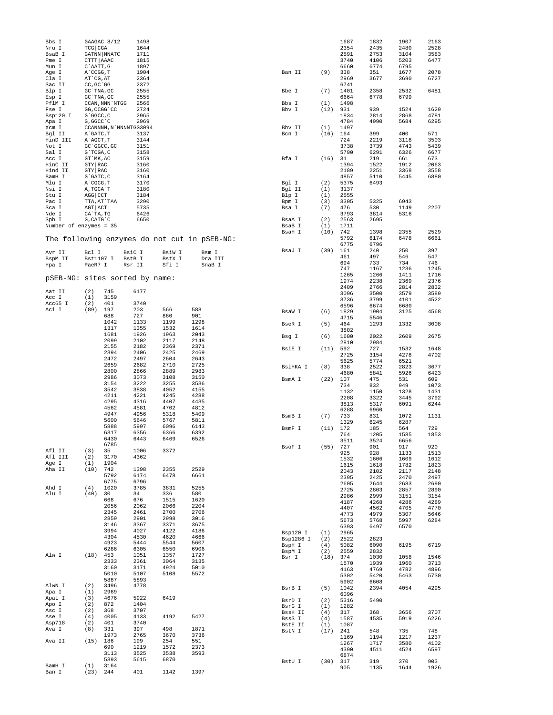| Bbs I                           |                           | GAAGAC 8/12          | 1498                   |              |                                              |                       |            | 1687         | 1832         | 1907         | 2163         |
|---------------------------------|---------------------------|----------------------|------------------------|--------------|----------------------------------------------|-----------------------|------------|--------------|--------------|--------------|--------------|
| Nru I<br>BsaB I                 | TCG CGA                   | <b>GATNN   NNATC</b> | 1644<br>1711           |              |                                              |                       |            | 2354<br>2591 | 2435<br>2753 | 2480<br>3104 | 2528<br>3583 |
| Pme I                           | CTTT AAAC                 |                      | 1815                   |              |                                              |                       |            | 3740         | 4106         | 5203         | 6477         |
| Mun I                           | C`AATT, G                 |                      | 1897                   |              |                                              |                       |            | 6660         | 6774         | 6795         |              |
| Age I                           | A`CCGG, T                 |                      | 1904                   |              |                                              | Ban II                | (9)        | 338          | 351          | 1677         | 2078         |
| Cla I<br>Sac II                 | AT CG, AT<br>CC, GC `GG   |                      | 2364<br>2372           |              |                                              |                       |            | 2969<br>6741 | 3677         | 3690         | 6727         |
| Blp I                           | GC `TNA, GC               |                      | 2555                   |              |                                              | Bbe I                 | (7)        | 1401         | 2358         | 2532         | 6481         |
| Esp I                           | GC `TNA, GC               |                      | 2555                   |              |                                              |                       |            | 6664         | 6778         | 6799         |              |
| PflM I                          |                           | CCAN, NNN `NTGG      | 2566                   |              |                                              | Bbs I                 | (1)        | 1498         |              |              |              |
| Fse I<br>Bsp120 I               | GG, CCGG 'CC<br>G`GGCC, C |                      | 2724<br>2965           |              |                                              | Bbv I                 | (12)       | 931<br>1834  | 939<br>2814  | 1524<br>2868 | 1629<br>4781 |
| Apa I                           | G, GGCC `C                |                      | 2969                   |              |                                              |                       |            | 4784         | 4990         | 5684         | 6295         |
| Xcm I                           |                           |                      | CCANNNN, N'NNNNTGG3094 |              |                                              | Bby II                | (1)        | 1497         |              |              |              |
| Bgl II                          | A GATC, T                 |                      | 3137                   |              |                                              | Bcn I                 | (16)       | 164          | 399          | 400          | 571          |
| HinD III                        | A`AGCT, T                 |                      | 3144                   |              |                                              |                       |            | 724          | 2219         | 3118         | 3503         |
| Not I<br>Sal I                  | GC 'GGCC, GC<br>G`TCGA, C |                      | 3151<br>3158           |              |                                              |                       |            | 3738<br>5790 | 3739<br>6291 | 4743<br>6326 | 5439<br>6677 |
| Acc I                           | GT `MK, AC                |                      | 3159                   |              |                                              | Bfa I                 | (16)       | 31           | 219          | 661          | 673          |
| HinC II                         | GTY RAC                   |                      | 3160                   |              |                                              |                       |            | 1394         | 1522         | 1912         | 2063         |
| Hind II                         | GTY RAC                   |                      | 3160                   |              |                                              |                       |            | 2189         | 2251         | 3368         | 3558         |
| BamH I                          | $G$ $GATC$ , $C$          |                      | 3164                   |              |                                              |                       |            | 4857         | 5110         | 5445         | 6880         |
| Mlu I<br>Nsi I                  | A CGCG, T<br>A, TGCA`T    |                      | 3170<br>3180           |              |                                              | Bgl I<br>Bgl II       | (2)<br>(1) | 5375<br>3137 | 6493         |              |              |
| Stu I                           | AGG CCT                   |                      | 3184                   |              |                                              | Blp I                 | (1)        | 2555         |              |              |              |
| Pac I                           | TTA, AT`TAA               |                      | 3290                   |              |                                              | Bpm I                 | (3)        | 3305         | 5325         | 6943         |              |
| Sca I                           | AGT ACT                   |                      | 5735                   |              |                                              | Bsa I                 | (7)        | 476          | 530          | 1149         | 2207         |
| Nde I                           | CA`TA, TG                 |                      | 6426                   |              |                                              |                       |            | 3793         | 3814         | 5316         |              |
| Sph I<br>Number of enzymes = 35 | G, CATG C                 |                      | 6650                   |              |                                              | BsaA I<br>BsaB I      | (2)<br>(1) | 2563<br>1711 | 2695         |              |              |
|                                 |                           |                      |                        |              |                                              | BsaH I                | (10)       | 742          | 1398         | 2355         | 2529         |
|                                 |                           |                      |                        |              | The following enzymes do not cut in pSEB-NG: |                       |            | 5792         | 6174         | 6478         | 6661         |
|                                 |                           |                      |                        |              |                                              |                       |            | 6775         | 6796         |              |              |
| Avr II                          | Bcl I                     |                      | BsiC I                 | BsiW I       | Bsm I                                        | BsaJ I                | (39)       | 161<br>461   | 240<br>497   | 250<br>546   | 397<br>547   |
| BspM II                         | Bst1107 I                 |                      | BstB I                 | BstX I       | Dra III                                      |                       |            | 694          | 733          | 734          | 746          |
| Hpa I                           | PaeR7 I                   |                      | Rsr II                 | Sfi I        | SnaB I                                       |                       |            | 747          | 1167         | 1236         | 1245         |
| pSEB-NG: sites sorted by name:  |                           |                      |                        |              |                                              |                       |            | 1265         | 1266         | 1411         | 1716         |
|                                 |                           |                      |                        |              |                                              |                       |            | 1974         | 2238         | 2369         | 2376         |
| Aat II                          | (2)                       | 745                  | 6177                   |              |                                              |                       |            | 2409<br>3096 | 2766<br>3500 | 2814<br>3579 | 2832<br>3589 |
| Acc I                           | (1)                       | 3159                 |                        |              |                                              |                       |            | 3736         | 3799         | 4101         | 4522         |
| Acc65 I                         | (2)                       | 401                  | 3740                   |              |                                              |                       |            | 6596         | 6674         | 6680         |              |
| Aci I                           | (89)                      | 197<br>688           | 203<br>727             | 566<br>860   | 588<br>901                                   | BsaW I                | (6)        | 1829         | 1904         | 3125         | 4568         |
|                                 |                           | 1042                 | 1133                   | 1199         | 1298                                         |                       |            | 4715         | 5546         |              |              |
|                                 |                           | 1317                 | 1355                   | 1532         | 1614                                         | BseR I                | (5)        | 464<br>3802  | 1293         | 1332         | 3008         |
|                                 |                           | 1681                 | 1926                   | 1963         | 2043                                         | Bsg I                 | (6)        | 1600         | 2022         | 2609         | 2675         |
|                                 |                           | 2099<br>2155         | 2102                   | 2117         | 2148<br>2371                                 |                       |            | 2810         | 2984         |              |              |
|                                 |                           | 2394                 | 2182<br>2406           | 2369<br>2425 | 2469                                         | BsiE I                | (11)       | 592          | 727          | 1532         | 1648         |
|                                 |                           | 2472                 | 2497                   | 2604         | 2643                                         |                       |            | 2725         | 3154         | 4278         | 4702         |
|                                 |                           | 2659                 | 2682                   | 2710         | 2725                                         | BsiHKA I              | (8)        | 5625<br>338  | 5774<br>2522 | 6521<br>2823 | 3677         |
|                                 |                           | 2800                 | 2866                   | 2889         | 2983                                         |                       |            | 4680         | 5841         | 5926         | 6423         |
|                                 |                           | 2986                 | 3073                   | 3108         | 3150                                         | BsmA I                | (22)       | 107          | 475          | 531          | 609          |
|                                 |                           | 3154<br>3542         | 3222<br>3838           | 3255<br>4052 | 3536<br>4155                                 |                       |            | 734          | 832          | 949          | 1073         |
|                                 |                           | 4211                 | 4221                   | 4245         | 4288                                         |                       |            | 1132<br>2208 | 1150<br>3322 | 1328<br>3445 | 1431<br>3792 |
|                                 |                           | 4295                 | 4316                   | 4407         | 4435                                         |                       |            | 3813         | 5317         | 6091         | 6244         |
|                                 |                           | 4562                 | 4581                   | 4702         | 4812                                         |                       |            | 6288         | 6960         |              |              |
|                                 |                           | 4947                 | 4956                   | 5318         | 5409                                         | BsmB I                | (7)        | 733          | 831          | 1072         | 1131         |
|                                 |                           | 5600<br>5888         | 5646<br>5997           | 5767<br>6096 | 5811<br>6143                                 |                       |            | 1329         | 6245         | 6287         |              |
|                                 |                           | 6317                 | 6356                   | 6366         | 6392                                         | BsmF I                | (11)       | 172<br>764   | 185<br>1205  | 564<br>1585  | 729<br>1853  |
|                                 |                           | 6430                 | 6443                   | 6469         | 6526                                         |                       |            | 3511         | 3524         | 6656         |              |
|                                 |                           | 6785                 |                        |              |                                              | BsoF I                | (55)       | 727          | 901          | 917          | 920          |
| Afl II<br>Afl III               | (3)<br>(2)                | 35<br>3170           | 1006<br>4362           | 3372         |                                              |                       |            | 925          | 928          | 1133         | 1513         |
| Age I                           | (1)                       | 1904                 |                        |              |                                              |                       |            | 1532         | 1606         | 1609         | 1612         |
| Aha II                          | $(10)$ 742                |                      | 1398                   | 2355         | 2529                                         |                       |            | 1615<br>2043 | 1618<br>2102 | 1782<br>2117 | 1823<br>2148 |
|                                 |                           | 5792                 | 6174                   | 6478         | 6661                                         |                       |            | 2395         | 2425         | 2470         | 2497         |
| Ahd I                           | (4)                       | 6775<br>1020         | 6796<br>3785           | 3831         | 5255                                         |                       |            | 2605         | 2644         | 2683         | 2690         |
| Alu I                           | (40)                      | 30                   | 34                     | 336          | 580                                          |                       |            | 2725         | 2803         | 2857         | 2890         |
|                                 |                           | 668                  | 676                    | 1515         | 1620                                         |                       |            | 2986<br>4187 | 2999<br>4268 | 3151<br>4286 | 3154<br>4289 |
|                                 |                           | 2056                 | 2062                   | 2066         | 2204                                         |                       |            | 4407         | 4562         | 4705         | 4770         |
|                                 |                           | 2345                 | 2461                   | 2700         | 2706                                         |                       |            | 4773         | 4979         | 5307         | 5646         |
|                                 |                           | 2859<br>3146         | 2901<br>3367           | 2998<br>3371 | 3016<br>3675                                 |                       |            | 5673         | 5768         | 5997         | 6284         |
|                                 |                           | 3994                 | 4027                   | 4122         | 4186                                         |                       |            | 6393         | 6497         | 6570         |              |
|                                 |                           | 4304                 | 4530                   | 4620         | 4666                                         | Bsp120 I<br>Bsp1286 I | (1)<br>(2) | 2965<br>2522 | 2823         |              |              |
|                                 |                           | 4923                 | 5444                   | 5544         | 5607                                         | BspH I                | (4)        | 5082         | 6090         | 6195         | 6719         |
|                                 |                           | 6286                 | 6305                   | 6550         | 6906                                         | BspM I                | (2)        | 2559         | 2832         |              |              |
| Alw I                           | $(18)$ 453                | 2333                 | 1051<br>2361           | 1357<br>3064 | 1727<br>3135                                 | Bsr I                 | (18)       | 374          | 1030         | 1058         | 1546         |
|                                 |                           | 3160                 | 3171                   | 4924         | 5010                                         |                       |            | 1570         | 1939         | 1960         | 3713         |
|                                 |                           | 5010                 | 5107                   | 5108         | 5572                                         |                       |            | 4163<br>5302 | 4769<br>5420 | 4782<br>5463 | 4896<br>5730 |
|                                 |                           | 5887                 | 5893                   |              |                                              |                       |            | 5902         | 6608         |              |              |
| AlwN I                          | (2)<br>(1)                | 3496                 | 4778                   |              |                                              | BsrB I                | (5)        | 1042         | 2394         | 4054         | 4295         |
| Apa I<br>ApaL I                 | (3)                       | 2969<br>4676         | 5922                   | 6419         |                                              |                       |            | 6096         |              |              |              |
| Apo I                           | (2)                       | 872                  | 1404                   |              |                                              | BsrD I<br>BsrG I      | (2)<br>(1) | 5316<br>1282 | 5490         |              |              |
| Asc I                           | (2)                       | 368                  | 3707                   |              |                                              | BssH II               | (4)        | 317          | 368          | 3656         | 3707         |
| Ase I                           | (4)                       | 4005                 | 4133                   | 4192         | 5427                                         | BssS I                | (4)        | 1587         | 4535         | 5919         | 6226         |
| Asp718<br>Ava I                 | (2)<br>(8)                | 401<br>331           | 3740<br>397            | 498          | 1871                                         | BstE II               | (1)        | 1087         |              |              |              |
|                                 |                           | 1973                 | 2765                   | 3670         | 3736                                         | BstN I                | (17)       | 241          | 548          | 735<br>1217  | 748          |
| Ava II                          | $(15)$ 186                |                      | 199                    | 254          | 551                                          |                       |            | 1169<br>1267 | 1194<br>1717 | 3580         | 1237<br>4102 |
|                                 |                           | 690                  | 1219                   | 1572         | 2373                                         |                       |            | 4390         | 4511         | 4524         | 6597         |
|                                 |                           | 3113                 | 3525                   | 3538         | 3593                                         |                       |            | 6874         |              |              |              |
| BamH I                          | (1)                       | 5393<br>3164         | 5615                   | 6870         |                                              | BstU I                | (30)       | 317          | 319          | 370          | 903          |
| Ban I                           | (23) 244                  |                      | 401                    | 1142         | 1397                                         |                       |            | 905          | 1135         | 1644         | 1926         |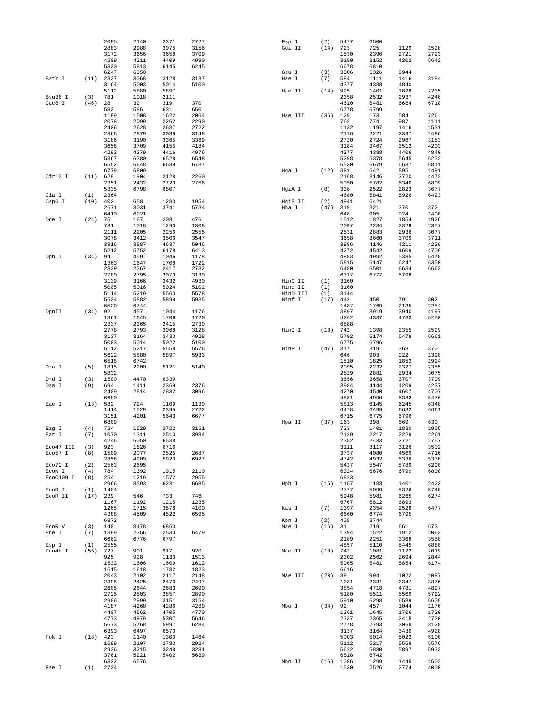|           |            | 2095 | 2140 | 2371 | 2727 | Fsp I   |          | (2)  | 5477     | 6500 |      |      |
|-----------|------------|------|------|------|------|---------|----------|------|----------|------|------|------|
|           |            | 2883 | 2988 | 3075 | 3156 | Gdi II  |          | (14) | 723      | 725  | 1129 | 1528 |
|           |            | 3172 | 3656 | 3658 | 3709 |         |          |      | 1530     | 2396 | 2721 | 2723 |
|           |            | 4209 | 4211 | 4409 | 4990 |         |          |      | 3150     | 3152 | 4202 | 5642 |
|           |            | 5320 | 5813 | 6145 | 6245 |         |          |      | 6678     | 6810 |      |      |
|           |            | 6247 | 6350 |      |      | Gsu I   |          | (3)  | 3306     | 5326 | 6944 |      |
| BstY I    | (11)       | 2337 | 3068 | 3128 | 3137 | Hae I   |          | (7)  | 584      | 1111 | 1416 | 3184 |
|           |            | 3164 | 5003 | 5014 | 5100 |         |          |      | 4377     | 4388 | 4840 |      |
|           |            | 5112 | 5880 | 5897 |      | Hae II  |          | (14) | 925      | 1401 | 1828 | 2235 |
| Bsu36 I   | (3)        | 781  | 1018 | 2111 |      |         |          |      | 2358     | 2532 | 2937 | 4240 |
| Cac8 I    | (46)       | 28   | 32   | 319  | 370  |         |          |      | 4610     | 6481 | 6664 | 6718 |
|           |            | 582  | 586  | 631  | 650  |         |          |      | 6778     | 6799 |      |      |
|           |            |      |      |      |      |         |          |      |          |      |      |      |
|           |            | 1199 | 1508 | 1622 | 2064 | Hae III |          | (36) | 129      | 173  | 584  | 726  |
|           |            | 2078 | 2099 | 2262 | 2290 |         |          |      | 762      | 774  | 987  | 1111 |
|           |            | 2406 | 2628 | 2687 | 2722 |         |          |      | 1132     | 1197 | 1416 | 1531 |
|           |            | 2866 | 2879 | 3039 | 3148 |         |          |      | 2116     | 2221 | 2397 | 2496 |
|           |            | 3186 | 3190 | 3365 | 3369 |         |          |      | 2720     | 2724 | 2967 | 3153 |
|           |            | 3658 | 3709 | 4155 | 4184 |         |          |      | 3184     | 3467 | 3512 | 4203 |
|           |            | 4293 | 4379 | 4416 | 4976 |         |          |      | 4377     | 4388 | 4406 | 4840 |
|           |            | 5367 | 6380 | 6528 | 6548 |         |          |      | 5298     | 5378 | 5645 | 6232 |
|           |            | 6552 | 6648 | 6689 | 6737 |         |          |      | 6530     | 6679 | 6687 | 6811 |
|           |            | 6779 | 6809 |      |      | Hga I   |          | (12) | 381      | 642  | 895  | 1491 |
| Cfr10 I   | (11) 629   |      | 1904 | 2128 | 2260 |         |          |      | 2168     | 3146 | 3720 | 4472 |
|           |            | 2351 | 2432 | 2720 | 2756 |         |          |      | 5050     | 5782 | 6340 | 6809 |
|           |            | 5335 | 6798 | 6807 |      | HgiA I  |          | (8)  | 338      | 2522 | 2823 | 3677 |
|           |            | 2364 |      |      |      |         |          |      | 4680     |      | 5926 | 6423 |
| Cla I     | (1)        |      |      |      |      |         |          |      |          | 5841 |      |      |
| Csp6 I    | (10)       | 402  | 658  | 1283 | 1954 | HgiE II |          | (2)  | 4941     | 6421 |      |      |
|           |            | 2671 | 3031 | 3741 | 5734 | Hha I   |          | (47) | 319      | 321  | 370  | 372  |
|           |            | 6410 | 6921 |      |      |         |          |      | 648      | 905  | 924  | 1400 |
| Dde I     | (24)       | 75   | 167  | 208  | 476  |         |          |      | 1512     | 1827 | 1854 | 1926 |
|           |            | 781  | 1018 | 1290 | 1808 |         |          |      | 2097     | 2234 | 2329 | 2357 |
|           |            | 2111 | 2205 | 2256 | 2555 |         |          |      | 2531     | 2883 | 2936 | 3077 |
|           |            | 3078 | 3412 | 3506 | 3547 |         |          |      | 3658     | 3660 | 3709 | 3711 |
|           |            | 3816 | 3887 | 4637 | 5046 |         |          |      | 3986     | 4146 | 4211 | 4239 |
|           |            | 5212 | 5752 | 6178 | 6413 |         |          |      | 4272     | 4542 | 4609 | 4709 |
| Dpn I     | (34)       | 94   | 459  | 1046 | 1178 |         |          |      | 4883     | 4992 | 5385 | 5478 |
|           |            | 1363 | 1647 | 1708 | 1722 |         |          |      | 5815     | 6147 | 6247 | 6350 |
|           |            | 2339 | 2367 | 2417 | 2732 |         |          |      | 6480     | 6501 | 6634 | 6663 |
|           |            | 2780 |      |      |      |         |          |      |          |      | 6798 |      |
|           |            |      | 2795 | 3070 | 3130 |         |          |      | 6717     | 6777 |      |      |
|           |            | 3139 | 3166 | 3432 | 4930 | HinC II |          | (1)  | 3160     |      |      |      |
|           |            | 5005 | 5016 | 5024 | 5102 | Hind II |          | (1)  | 3160     |      |      |      |
|           |            | 5114 | 5219 | 5560 | 5578 |         | HinD III | (1)  | 3144     |      |      |      |
|           |            | 5624 | 5882 | 5899 | 5935 | Hinf I  |          | (17) | 442      | 450  | 791  | 802  |
|           |            | 6520 | 6744 |      |      |         |          |      | 1437     | 1769 | 2135 | 2254 |
| DpnII     | (34)       | 92   | 457  | 1044 | 1176 |         |          |      | 3897     | 3919 | 3940 | 4197 |
|           |            | 1361 | 1645 | 1706 | 1720 |         |          |      | 4262     | 4337 | 4733 | 5250 |
|           |            | 2337 | 2365 | 2415 | 2730 |         |          |      | 6888     |      |      |      |
|           |            | 2778 | 2793 | 3068 | 3128 | HinI I  |          | (10) | 742      | 1398 | 2355 | 2529 |
|           |            | 3137 | 3164 | 3430 | 4928 |         |          |      | 5792     | 6174 | 6478 | 6661 |
|           |            | 5003 | 5014 | 5022 | 5100 |         |          |      | 6775     | 6796 |      |      |
|           |            | 5112 | 5217 | 5558 | 5576 | HinP I  |          | (47) | 317      | 319  | 368  | 370  |
|           |            | 5622 | 5880 | 5897 | 5933 |         |          |      | 646      | 903  | 922  | 1398 |
|           |            | 6518 | 6742 |      |      |         |          |      | 1510     | 1825 | 1852 | 1924 |
|           |            |      |      |      |      |         |          |      |          |      |      |      |
| Dra I     | (5)        | 1815 | 2200 | 5121 | 5140 |         |          |      | 2095     | 2232 | 2327 | 2355 |
|           |            | 5832 |      |      |      |         |          |      | 2529     | 2881 | 2934 | 3075 |
| Drd I     | (3)        | 1500 | 4470 | 6339 |      |         |          |      | 3656     | 3658 | 3707 | 3709 |
| Dsa I     | (9)        | 694  | 1411 | 2369 | 2376 |         |          |      | 3984     | 4144 | 4209 | 4237 |
|           |            | 2409 | 2814 | 2832 | 3096 |         |          |      | 4270     | 4540 | 4607 | 4707 |
|           |            | 6680 |      |      |      |         |          |      | 4881     | 4990 | 5383 | 5476 |
| Eae I     | (13) 582   |      | 724  | 1109 | 1130 |         |          |      | 5813     | 6145 | 6245 | 6348 |
|           |            | 1414 | 1529 | 2395 | 2722 |         |          |      | 6478     | 6499 | 6632 | 6661 |
|           |            | 3151 | 4201 | 5643 | 6677 |         |          |      | 6715     | 6775 | 6796 |      |
|           |            | 6809 |      |      |      | Hpa II  |          | (37) | 163      | 398  | 569  | 630  |
| Eag I     | (4)        | 724  | 1529 | 2722 | 3151 |         |          |      | 723      | 1401 | 1830 | 1905 |
| Ear I     | (7)        | 1070 | 1311 | 2510 | 3984 |         |          |      | 2129     | 2217 | 2229 | 2261 |
|           |            | 4246 | 6050 | 6538 |      |         |          |      | 2352     | 2433 | 2721 | 2757 |
| Eco47 III | (3)        | 923  | 1826 | 6716 |      |         |          |      | 3111     | 3117 | 3126 | 3502 |
| Eco57 I   | (8)        | 1509 | 2077 | 2525 | 2687 |         |          |      | 3737     | 4080 | 4569 | 4716 |
|           |            |      |      |      |      |         |          |      |          |      |      |      |
|           |            | 2858 | 4909 | 5923 | 6927 |         |          |      | 4742     | 4932 | 5336 | 5370 |
| Eco72 I   | (2)        | 2563 | 2695 |      |      |         |          |      | 5437     | 5547 | 5789 | 6290 |
| ECON I    | (4)        | 784  | 1392 | 1915 | 2110 |         |          |      | 6324     | 6676 | 6799 | 6808 |
| Eco0109 I | (8)        | 254  | 1219 | 1572 | 2965 |         |          |      | 6823     |      |      |      |
|           |            | 2966 | 3593 | 6231 | 6685 | Hph I   |          | (15) | 1157     | 1183 | 1401 | 2423 |
| EcoR I    | (1)        | 1404 |      |      |      |         |          |      | 2777     | 5099 | 5326 | 5740 |
| ECOR II   | $(17)$ 239 |      | 546  | 733  | 746  |         |          |      | 5948     | 5981 | 6265 | 6274 |
|           |            | 1167 | 1192 | 1215 | 1235 |         |          |      | 6767     | 6812 | 6893 |      |
|           |            | 1265 | 1715 | 3578 | 4100 | Kas I   |          | (7)  | 1397     | 2354 | 2528 | 6477 |
|           |            | 4388 | 4509 | 4522 | 6595 |         |          |      | 6660     | 6774 | 6795 |      |
|           |            | 6872 |      |      |      | Kpn I   |          | (2)  | 405      | 3744 |      |      |
| ECOR V    | (3)        | 140  | 3478 | 6863 |      | Mae I   |          | (16) | 31       | 219  | 661  | 673  |
| Ehe I     | (7)        | 1399 | 2356 | 2530 | 6479 |         |          |      | 1394     | 1522 | 1912 | 2063 |
|           |            | 6662 | 6776 | 6797 |      |         |          |      | 2189     | 2251 | 3368 | 3558 |
| Esp I     | (1)        | 2555 |      |      |      |         |          |      | 4857     | 5110 | 5445 | 6880 |
| Fnu4H I   | $(55)$ 727 |      | 901  | 917  | 920  | Mae II  |          |      | (13) 742 | 1081 | 1122 | 2019 |
|           |            | 925  | 928  | 1133 | 1513 |         |          |      | 2302     | 2562 | 2694 | 2844 |
|           |            |      |      |      |      |         |          |      |          |      |      |      |
|           |            | 1532 | 1606 | 1609 | 1612 |         |          |      | 5065     | 5481 | 5854 | 6174 |
|           |            | 1615 | 1618 | 1782 | 1823 |         |          |      | 6616     |      |      |      |
|           |            | 2043 | 2102 | 2117 | 2148 | Mae III |          | (20) | 39       | 994  | 1022 | 1087 |
|           |            | 2395 | 2425 | 2470 | 2497 |         |          |      | 1231     | 2331 | 2347 | 3376 |
|           |            | 2605 | 2644 | 2683 | 2690 |         |          |      | 3854     | 4718 | 4781 | 4897 |
|           |            | 2725 | 2803 | 2857 | 2890 |         |          |      | 5180     | 5511 | 5569 | 5722 |
|           |            | 2986 | 2999 | 3151 | 3154 |         |          |      | 5910     | 6298 | 6589 | 6609 |
|           |            | 4187 | 4268 | 4286 | 4289 | Mbo I   |          | (34) | 92       | 457  | 1044 | 1176 |
|           |            | 4407 | 4562 | 4705 | 4770 |         |          |      | 1361     | 1645 | 1706 | 1720 |
|           |            | 4773 | 4979 | 5307 | 5646 |         |          |      | 2337     | 2365 | 2415 | 2730 |
|           |            | 5673 | 5768 | 5997 | 6284 |         |          |      | 2778     | 2793 | 3068 | 3128 |
|           |            | 6393 | 6497 | 6570 |      |         |          |      | 3137     | 3164 | 3430 | 4928 |
| Fok I     | $(18)$ 423 |      | 1140 | 1300 | 1464 |         |          |      | 5003     | 5014 | 5022 | 5100 |
|           |            | 1699 | 2107 | 2783 | 2924 |         |          |      | 5112     | 5217 | 5558 | 5576 |
|           |            | 2936 |      | 3248 | 3281 |         |          |      | 5622     |      | 5897 | 5933 |
|           |            |      | 3215 |      |      |         |          |      |          | 5880 |      |      |
|           |            | 3761 | 5221 | 5402 | 5689 |         |          |      | 6518     | 6742 |      |      |
|           |            | 6332 | 6576 |      |      | Mbo II  |          | (16) | 1086     | 1299 | 1445 | 1502 |
| Fse I     | (1)        | 2724 |      |      |      |         |          |      | 1530     | 2526 | 2774 | 4000 |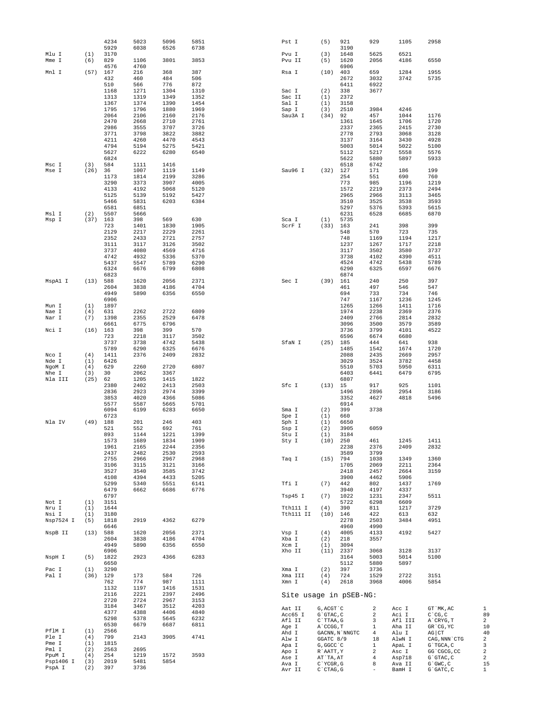|                |            | 4234         | 5023         | 5096         | 5851         | Pst I                  | (5)                                | 921            | 929            | 1105             | 2958                         |
|----------------|------------|--------------|--------------|--------------|--------------|------------------------|------------------------------------|----------------|----------------|------------------|------------------------------|
| Mlu I          | (1)        | 5929<br>3170 | 6038         | 6526         | 6738         | Pvu I                  | (3)                                | 3190<br>1648   | 5625           | 6521             |                              |
| Mme I          | (6)        | 829          | 1106         | 3801         | 3853         | Pvu II                 | (5)                                | 1620           | 2056           | 4186             | 6550                         |
|                |            | 4576         | 4760         |              |              |                        |                                    | 6906           |                |                  |                              |
| Mnl I          | (57)       | 167          | 216          | 368          | 387          | Rsa I                  | (10)                               | 403            | 659            | 1284             | 1955                         |
|                |            | 432          | 460          | 484          | 506          |                        |                                    | 2672           | 3032           | 3742             | 5735                         |
|                |            | 510          | 566          | 776          | 872          |                        |                                    | 6411           | 6922           |                  |                              |
|                |            | 1168         | 1271         | 1304         | 1310         | Sac I                  | (2)                                | 338            | 3677           |                  |                              |
|                |            | 1313         | 1319         | 1349         | 1352         | Sac II                 | (1)                                | 2372           |                |                  |                              |
|                |            | 1367         | 1374         | 1390         | 1454         | Sal I                  | (1)                                | 3158           |                |                  |                              |
|                |            | 1795         | 1796         | 1880         | 1969         | Sap I                  | (3)                                | 2510           | 3984           | 4246             |                              |
|                |            | 2064         | 2106         | 2160         | 2176         | Sau3A I                | (34)                               | 92             | 457            | 1044             | 1176                         |
|                |            | 2470         | 2668         | 2710         | 2761         |                        |                                    | 1361           | 1645           | 1706             | 1720                         |
|                |            | 2986         | 3555         | 3707         | 3726         |                        |                                    | 2337           | 2365           | 2415             | 2730                         |
|                |            | 3771         | 3798         | 3822         | 3882         |                        |                                    | 2778           | 2793           | 3068             | 3128                         |
|                |            | 4211         | 4260         | 4470         | 4543         |                        |                                    | 3137           | 3164           | 3430             | 4928                         |
|                |            | 4794         | 5194         | 5275         | 5421         |                        |                                    | 5003           | 5014           | 5022             | 5100                         |
|                |            | 5627         | 6222         | 6280         | 6540         |                        |                                    | 5112           | 5217           | 5558             | 5576                         |
|                |            | 6824         |              |              |              |                        |                                    | 5622           | 5880           | 5897             | 5933                         |
| Msc I          | (3)        | 584          | 1111         | 1416         |              |                        |                                    | 6518           | 6742           |                  | 199                          |
| Mse I          | (26)       | 36<br>1173   | 1007<br>1814 | 1119<br>2199 | 1149<br>3286 | Sau96 I                | (32)                               | 127<br>254     | 171<br>551     | 186<br>690       | 760                          |
|                |            | 3290         | 3373         | 3907         | 4005         |                        |                                    | 773            | 985            | 1196             | 1219                         |
|                |            | 4133         | 4192         | 5068         | 5120         |                        |                                    | 1572           | 2219           | 2373             | 2494                         |
|                |            | 5125         | 5139         | 5192         | 5427         |                        |                                    | 2965           | 2966           | 3113             | 3465                         |
|                |            | 5466         | 5831         | 6203         | 6384         |                        |                                    | 3510           | 3525           | 3538             | 3593                         |
|                |            | 6581         | 6851         |              |              |                        |                                    | 5297           | 5376           | 5393             | 5615                         |
| Msl I          | (2)        | 5507         | 5666         |              |              |                        |                                    | 6231           | 6528           | 6685             | 6870                         |
| Msp I          | (37)       | 163          | 398          | 569          | 630          | Sca I                  | (1)                                | 5735           |                |                  |                              |
|                |            | 723          | 1401         | 1830         | 1905         | ScrF I                 | (33)                               | 163            | 241            | 398              | 399                          |
|                |            | 2129         | 2217         | 2229         | 2261         |                        |                                    | 548            | 570            | 723              | 735                          |
|                |            | 2352         | 2433         | 2721         | 2757         |                        |                                    | 748            | 1169           | 1194             | 1217                         |
|                |            | 3111         | 3117         | 3126         | 3502         |                        |                                    | 1237           | 1267           | 1717             | 2218                         |
|                |            | 3737         | 4080         | 4569         | 4716         |                        |                                    | 3117           | 3502           | 3580             | 3737                         |
|                |            | 4742         | 4932         | 5336         | 5370         |                        |                                    | 3738           | 4102           | 4390             | 4511                         |
|                |            | 5437         | 5547         | 5789         | 6290         |                        |                                    | 4524           | 4742           | 5438             | 5789                         |
|                |            | 6324         | 6676         | 6799         | 6808         |                        |                                    | 6290           | 6325           | 6597             | 6676                         |
|                |            | 6823         |              |              |              |                        |                                    | 6874           |                |                  |                              |
| MspAl I        | (13)       | 588          | 1620         | 2056         | 2371         | Sec I                  | (39)                               | 161            | 240            | 250              | 397                          |
|                |            | 2604<br>4949 | 3838<br>5890 | 4186<br>6356 | 4704<br>6550 |                        |                                    | 461<br>694     | 497<br>733     | 546<br>734       | 547<br>746                   |
|                |            | 6906         |              |              |              |                        |                                    | 747            | 1167           | 1236             | 1245                         |
| Mun I          | (1)        | 1897         |              |              |              |                        |                                    | 1265           | 1266           | 1411             | 1716                         |
| Nae I          | (4)        | 631          | 2262         | 2722         | 6809         |                        |                                    | 1974           | 2238           | 2369             | 2376                         |
| Nar I          | (7)        | 1398         | 2355         | 2529         | 6478         |                        |                                    | 2409           | 2766           | 2814             | 2832                         |
|                |            | 6661         | 6775         | 6796         |              |                        |                                    | 3096           | 3500           | 3579             | 3589                         |
| Nci I          | (16)       | 163          | 398          | 399          | 570          |                        |                                    | 3736           | 3799           | 4101             | 4522                         |
|                |            | 723          | 2218         | 3117         | 3502         |                        |                                    | 6596           | 6674           | 6680             |                              |
|                |            | 3737         | 3738         | 4742         | 5438         | SfaN I                 | (25)                               | 185            | 444            | 641              | 938                          |
|                |            | 5789         | 6290         | 6325         | 6676         |                        |                                    | 1485           | 1542           | 1674             | 1720                         |
| Nco I          | (4)        | 1411         | 2376         | 2409         | 2832         |                        |                                    | 2088           | 2435           | 2669             | 2957                         |
| Nde I          | (1)        | 6426         |              |              |              |                        |                                    | 3029           | 3524           | 3782             | 4458                         |
| NgoM I         | (4)        | 629          | 2260         | 2720         | 6807         |                        |                                    | 5510           | 5703           | 5950             | 6311                         |
| Nhe I          | (3)        | 30           | 2062         | 3367         |              |                        |                                    | 6403           | 6441           | 6479             | 6795                         |
| Nla III        | (25)       | 62           | 1205         | 1415         | 1822         |                        |                                    | 6807           |                |                  |                              |
|                |            | 2380         | 2402         | 2413         | 2503         | Sfc I                  | (13)                               | 15             | 917            | 925              | 1101                         |
|                |            | 2836         | 2923         | 2974         | 3399         |                        |                                    | 1496           | 2896           | 2954             | 3186                         |
|                |            | 3853         | 4020         | 4366         | 5086         |                        |                                    | 3352           | 4627           | 4818             | 5496                         |
|                |            | 5577<br>6094 | 5587         | 5665         | 5701         |                        |                                    | 6914           | 3738           |                  |                              |
|                |            | 6723         | 6199         | 6283         | 6650         | Sma I                  | (2)<br>(1)                         | 399<br>660     |                |                  |                              |
| Nla IV         | (49)       | 188          | 201          | 246          | 403          | Spe I<br>Sph I         | (1)                                | 6650           |                |                  |                              |
|                |            | 521          | 552          | 692          | 761          | Ssp I                  | (2)                                | 3905           | 6059           |                  |                              |
|                |            | 893          | 1144         | 1221         | 1399         | Stu I                  | (1)                                | 3184           |                |                  |                              |
|                |            | 1573         | 1689         | 1834         | 1909         | Sty I                  | (10)                               | 250            | 461            | 1245             | 1411                         |
|                |            | 1961         | 2165         | 2244         | 2356         |                        |                                    | 2238           | 2376           | 2409             | 2832                         |
|                |            | 2437         | 2482         | 2530         | 2593         |                        |                                    | 3589           | 3799           |                  |                              |
|                |            | 2755         | 2966         | 2967         | 2968         | Taq I                  | $(15)$ 794                         |                | 1038           | 1349             | 1360                         |
|                |            | 3106         | 3115         | 3121         | 3166         |                        |                                    | 1705           | 2069           | 2211             | 2364                         |
|                |            | 3527         | 3540         | 3585         | 3742         |                        |                                    | 2418           | 2457           | 2664             | 3159                         |
|                |            | 4108         | 4394         | 4433         | 5205         |                        |                                    | 3900           | 4462           | 5906             |                              |
|                |            | 5299         | 5340         | 5551         | 6141         | Tfi I                  | (7)                                | 442            | 802            | 1437             | 1769                         |
|                |            | 6479<br>6797 | 6662         | 6686         | 6776         | Tsp45 I                | (7)                                | 3940<br>1022   | 4197<br>1231   | 4337<br>2347     |                              |
|                |            |              |              |              |              |                        |                                    |                |                |                  | 5511                         |
| Not I<br>Nru I | (1)<br>(1) | 3151<br>1644 |              |              |              | Tth111 I               | (4)                                | 5722<br>390    | 6298<br>811    | 6609<br>1217     | 3729                         |
| Nsi I          | (1)        | 3180         |              |              |              | Tth111 II              | (10)                               | 146            | 422            | 613              | 632                          |
| Nsp7524 I      | (5)        | 1818         | 2919         | 4362         | 6279         |                        |                                    | 2278           | 2503           | 3484             | 4951                         |
|                |            | 6646         |              |              |              |                        |                                    | 4960           | 4990           |                  |                              |
| NspB II        | (13)       | 588          | 1620         | 2056         | 2371         | Vsp I                  | (4)                                | 4005           | 4133           | 4192             | 5427                         |
|                |            | 2604         | 3838         | 4186         | 4704         | Xba I                  | (2)                                | 218            | 3557           |                  |                              |
|                |            | 4949         | 5890         | 6356         | 6550         | Xcm I                  | (1)                                | 3094           |                |                  |                              |
|                |            | 6906         |              |              |              | Xho II                 | (11)                               | 2337           | 3068           | 3128             | 3137                         |
| NspH I         | (5)        | 1822         | 2923         | 4366         | 6283         |                        |                                    | 3164           | 5003           | 5014             | 5100                         |
|                |            | 6650         |              |              |              |                        |                                    | 5112           | 5880           | 5897             |                              |
| Pac I          | (1)        | 3290         |              |              |              | Xma I                  | (2)                                | 397            | 3736           |                  |                              |
| Pal I          | (36)       | 129          | 173          | 584          | 726          | Xma III                | (4)                                | 724            | 1529           | 2722             | 3151                         |
|                |            | 762          | 774          | 987          | 1111         | Xmn I                  | (4)                                | 2618           | 3968           | 4006             | 5854                         |
|                |            | 1132         | 1197         | 1416         | 1531         |                        |                                    |                |                |                  |                              |
|                |            | 2116         | 2221         | 2397         | 2496         | Site usage in pSEB-NG: |                                    |                |                |                  |                              |
|                |            | 2720         | 2724         | 2967         | 3153         |                        |                                    |                |                |                  |                              |
|                |            | 3184<br>4377 | 3467<br>4388 | 3512<br>4406 | 4203<br>4840 | Aat II                 | G, ACGT `C                         |                | 2              | Acc I            | GT `MK, AC                   |
|                |            | 5298         | 5378         | 5645         | 6232         | Acc65 I                | G`GTAC, C                          |                | 2              | Aci I            | $C^{\wedge}CG, C$            |
|                |            | 6530         | 6679         | 6687         | 6811         | Afl II                 | C`TTAA, G                          |                | 3              | Afl III          | A`CRYG, T                    |
| PflM I         | (1)        | 2566         |              |              |              | Age I                  | A`CCGG, T                          |                | $\mathbf{1}$   | Aha II           | GR CG, YC                    |
| Ple I          | (4)        | 799          | 2143         | 3905         | 4741         | Ahd I                  |                                    | GACNN, N`NNGTC | $\overline{4}$ | Alu I            | $AG$ $CT$                    |
| Pme I          | (1)        | 1815         |              |              |              | Alw I                  | GGATC 8/9                          |                | 18             | AlwN I           | CAG, NNN `CTG                |
| Pml I          | (2)        | 2563         | 2695         |              |              | Apa I                  | G, GGCC `C                         |                | $\mathbf{1}$   | ApaL I           | G`TGCA, C                    |
| PpuM I         | (4)        | 254          | 1219         | 1572         | 3593         | Apo I                  | R`AATT, Y                          |                | 2              | Asc I            | GG 'CGCG, CC                 |
| Psp1406 I      | (3)        | 2019         | 5481         | 5854         |              | Ase I<br>Ava I         | AT `TA, AT<br>$C^{\dagger}YCGR, G$ |                | 4<br>8         | Asp718<br>Ava II | G`GTAC, C<br>$G$ $GWC$ , $C$ |
| PspA I         | (2)        | 397          | 3736         |              |              | Avr II                 | C`CTAG, G                          |                |                | BamH I           | G`GATC, C                    |
|                |            |              |              |              |              |                        |                                    |                |                |                  |                              |

 $\begin{array}{c} 1 \\ 8 \\ 2 \\ 1 \\ 4 \\ 0 \\ 2 \\ 3 \\ 2 \\ 2 \\ 1 \\ 5 \\ \end{array}$